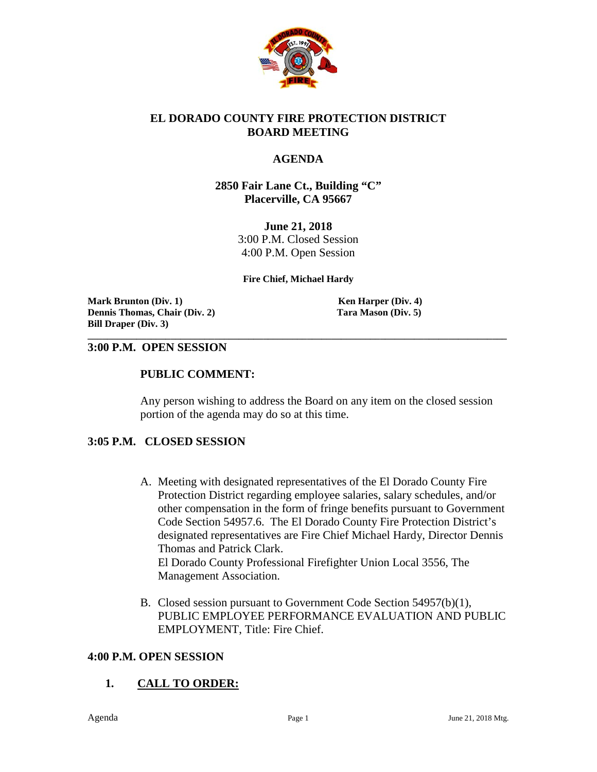

#### **EL DORADO COUNTY FIRE PROTECTION DISTRICT BOARD MEETING**

### **AGENDA**

#### **2850 Fair Lane Ct., Building "C" Placerville, CA 95667**

**June 21, 2018** 3:00 P.M. Closed Session 4:00 P.M. Open Session

#### **Fire Chief, Michael Hardy**

**\_\_\_\_\_\_\_\_\_\_\_\_\_\_\_\_\_\_\_\_\_\_\_\_\_\_\_\_\_\_\_\_\_\_\_\_\_\_\_\_\_\_\_\_\_\_\_\_\_\_\_\_\_\_\_\_\_\_\_\_\_\_\_\_\_\_\_\_\_\_\_\_\_\_\_\_\_\_\_\_\_\_\_\_\_\_**

**Mark Brunton** (Div. 1) **Ken Harper (Div. 4) Ken Harper (Div. 4) Dennis Thomas, Chair (Div. 2) Tara Mason (Div. 5) Bill Draper (Div. 3)**

#### **3:00 P.M. OPEN SESSION**

#### **PUBLIC COMMENT:**

Any person wishing to address the Board on any item on the closed session portion of the agenda may do so at this time.

#### **3:05 P.M. CLOSED SESSION**

- A. Meeting with designated representatives of the El Dorado County Fire Protection District regarding employee salaries, salary schedules, and/or other compensation in the form of fringe benefits pursuant to Government Code Section 54957.6. The El Dorado County Fire Protection District's designated representatives are Fire Chief Michael Hardy, Director Dennis Thomas and Patrick Clark. El Dorado County Professional Firefighter Union Local 3556, The Management Association.
- B. Closed session pursuant to Government Code Section 54957(b)(1), PUBLIC EMPLOYEE PERFORMANCE EVALUATION AND PUBLIC EMPLOYMENT, Title: Fire Chief.

#### **4:00 P.M. OPEN SESSION**

## **1. CALL TO ORDER:**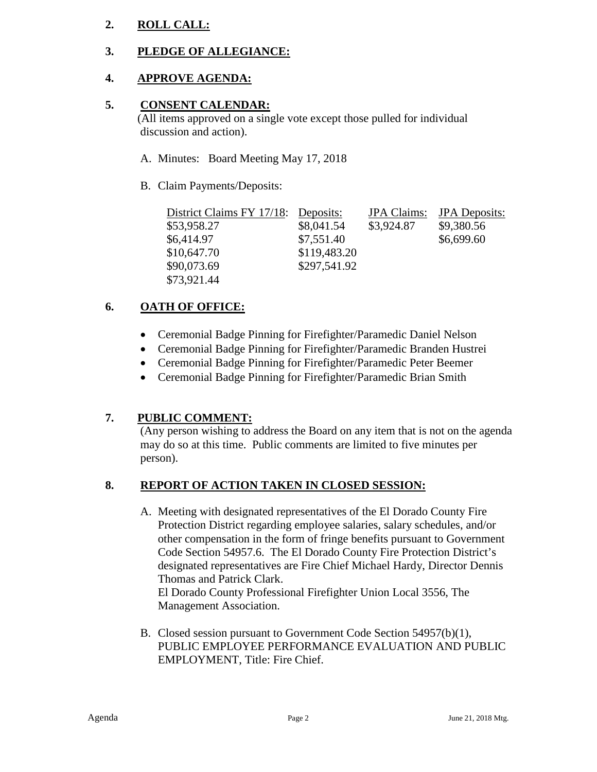# **2. ROLL CALL:**

# **3. PLEDGE OF ALLEGIANCE:**

# **4. APPROVE AGENDA:**

### **5. CONSENT CALENDAR:**

 (All items approved on a single vote except those pulled for individual discussion and action).

- A. Minutes: Board Meeting May 17, 2018
- B. Claim Payments/Deposits:

| District Claims FY 17/18: Deposits: |              | <b>JPA</b> Claims: | <b>JPA</b> Deposits: |
|-------------------------------------|--------------|--------------------|----------------------|
| \$53,958.27                         | \$8,041.54   | \$3,924.87         | \$9,380.56           |
| \$6,414.97                          | \$7,551.40   |                    | \$6,699.60           |
| \$10,647.70                         | \$119,483.20 |                    |                      |
| \$90,073.69                         | \$297,541.92 |                    |                      |
| \$73,921.44                         |              |                    |                      |

# **6. OATH OF OFFICE:**

- Ceremonial Badge Pinning for Firefighter/Paramedic Daniel Nelson
- Ceremonial Badge Pinning for Firefighter/Paramedic Branden Hustrei
- Ceremonial Badge Pinning for Firefighter/Paramedic Peter Beemer
- Ceremonial Badge Pinning for Firefighter/Paramedic Brian Smith

## **7. PUBLIC COMMENT:**

(Any person wishing to address the Board on any item that is not on the agenda may do so at this time. Public comments are limited to five minutes per person).

## **8. REPORT OF ACTION TAKEN IN CLOSED SESSION:**

A. Meeting with designated representatives of the El Dorado County Fire Protection District regarding employee salaries, salary schedules, and/or other compensation in the form of fringe benefits pursuant to Government Code Section 54957.6. The El Dorado County Fire Protection District's designated representatives are Fire Chief Michael Hardy, Director Dennis Thomas and Patrick Clark.

El Dorado County Professional Firefighter Union Local 3556, The Management Association.

B. Closed session pursuant to Government Code Section 54957(b)(1), PUBLIC EMPLOYEE PERFORMANCE EVALUATION AND PUBLIC EMPLOYMENT, Title: Fire Chief.